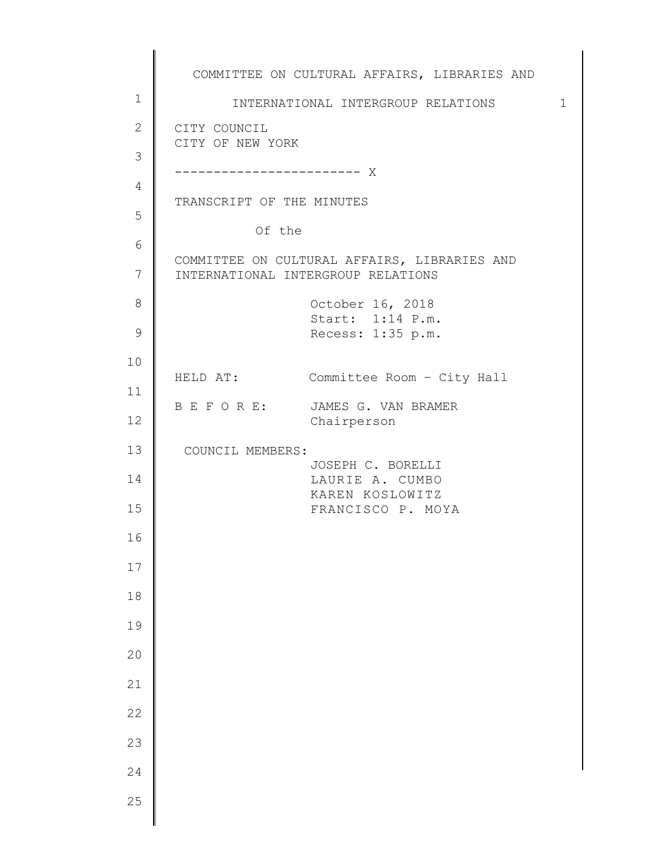1 2 3 4 5 6 7 8 9 10 11 12 13 14 15 16 17 18 19 20 21 22 23 24 25 COMMITTEE ON CULTURAL AFFAIRS, LIBRARIES AND INTERNATIONAL INTERGROUP RELATIONS 1 CITY COUNCIL CITY OF NEW YORK ------------------------ X TRANSCRIPT OF THE MINUTES Of the COMMITTEE ON CULTURAL AFFAIRS, LIBRARIES AND INTERNATIONAL INTERGROUP RELATIONS October 16, 2018 Start: 1:14 P.m. Recess: 1:35 p.m. HELD AT: Committee Room – City Hall B E F O R E: JAMES G. VAN BRAMER Chairperson COUNCIL MEMBERS: JOSEPH C. BORELLI LAURIE A. CUMBO KAREN KOSLOWITZ FRANCISCO P. MOYA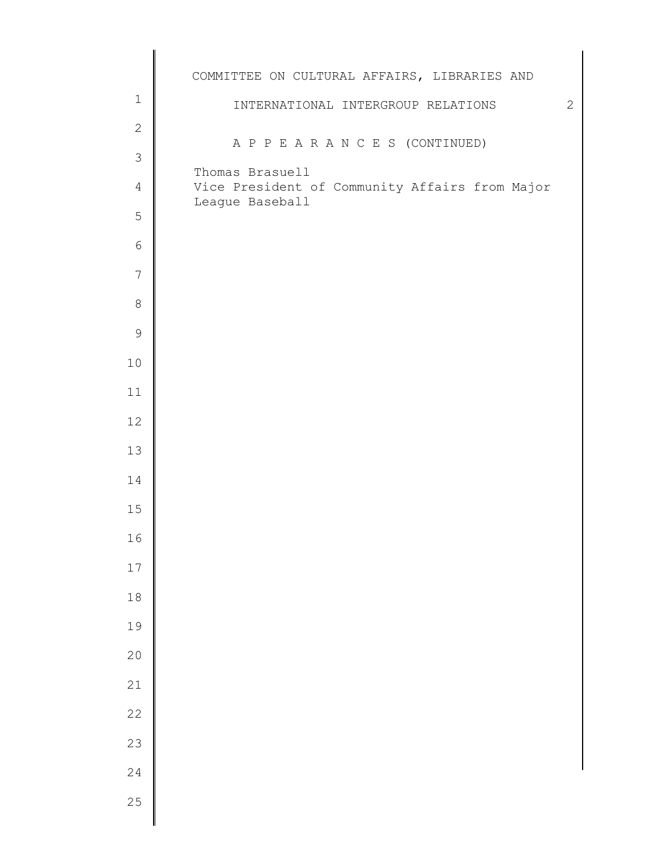|                  | COMMITTEE ON CULTURAL AFFAIRS, LIBRARIES AND                      |   |
|------------------|-------------------------------------------------------------------|---|
| $1\,$            | INTERNATIONAL INTERGROUP RELATIONS                                | 2 |
| $\mathbf{2}$     | A P P E A R A N C E S (CONTINUED)                                 |   |
| $\mathfrak{Z}$   |                                                                   |   |
| $\overline{4}$   | Thomas Brasuell<br>Vice President of Community Affairs from Major |   |
| 5                | League Baseball                                                   |   |
| $\epsilon$       |                                                                   |   |
| $\boldsymbol{7}$ |                                                                   |   |
| $\,8\,$          |                                                                   |   |
| $\mathsf 9$      |                                                                   |   |
| 10               |                                                                   |   |
| 11               |                                                                   |   |
| 12               |                                                                   |   |
| 13               |                                                                   |   |
| 14               |                                                                   |   |
| 15               |                                                                   |   |
| 16               |                                                                   |   |
| $17$             |                                                                   |   |
| $18$             |                                                                   |   |
| 19               |                                                                   |   |
| 20               |                                                                   |   |
| 21               |                                                                   |   |
| 22               |                                                                   |   |
| 23               |                                                                   |   |
| 24               |                                                                   |   |
| 25               |                                                                   |   |
|                  |                                                                   |   |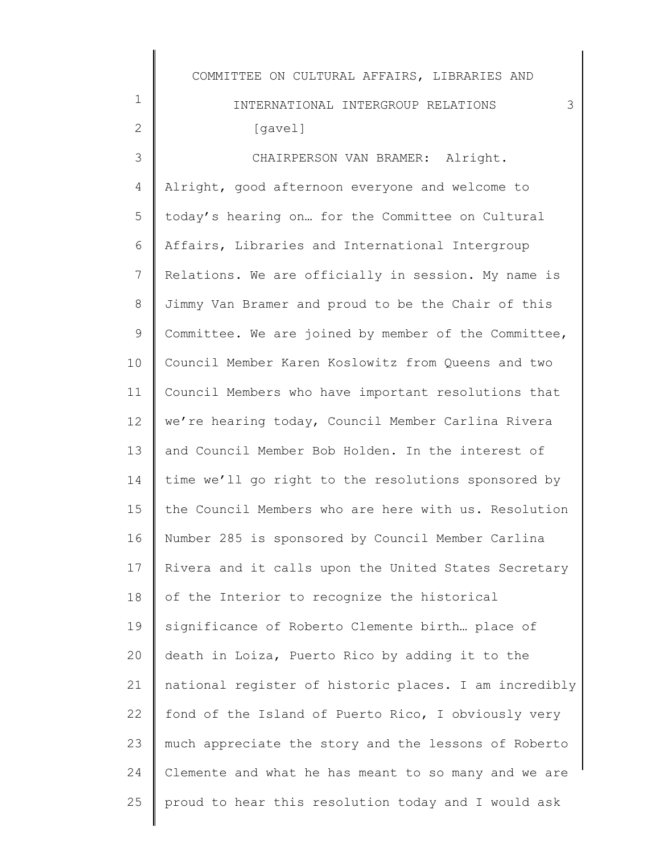1 2 3 4 5 6 7 8 9 10 11 12 13 14 15 16 17 18 19 20 21 22 23 24 25 COMMITTEE ON CULTURAL AFFAIRS, LIBRARIES AND INTERNATIONAL INTERGROUP RELATIONS 3 [gavel] CHAIRPERSON VAN BRAMER: Alright. Alright, good afternoon everyone and welcome to today's hearing on… for the Committee on Cultural Affairs, Libraries and International Intergroup Relations. We are officially in session. My name is Jimmy Van Bramer and proud to be the Chair of this Committee. We are joined by member of the Committee, Council Member Karen Koslowitz from Queens and two Council Members who have important resolutions that we're hearing today, Council Member Carlina Rivera and Council Member Bob Holden. In the interest of time we'll go right to the resolutions sponsored by the Council Members who are here with us. Resolution Number 285 is sponsored by Council Member Carlina Rivera and it calls upon the United States Secretary of the Interior to recognize the historical significance of Roberto Clemente birth… place of death in Loiza, Puerto Rico by adding it to the national register of historic places. I am incredibly fond of the Island of Puerto Rico, I obviously very much appreciate the story and the lessons of Roberto Clemente and what he has meant to so many and we are proud to hear this resolution today and I would ask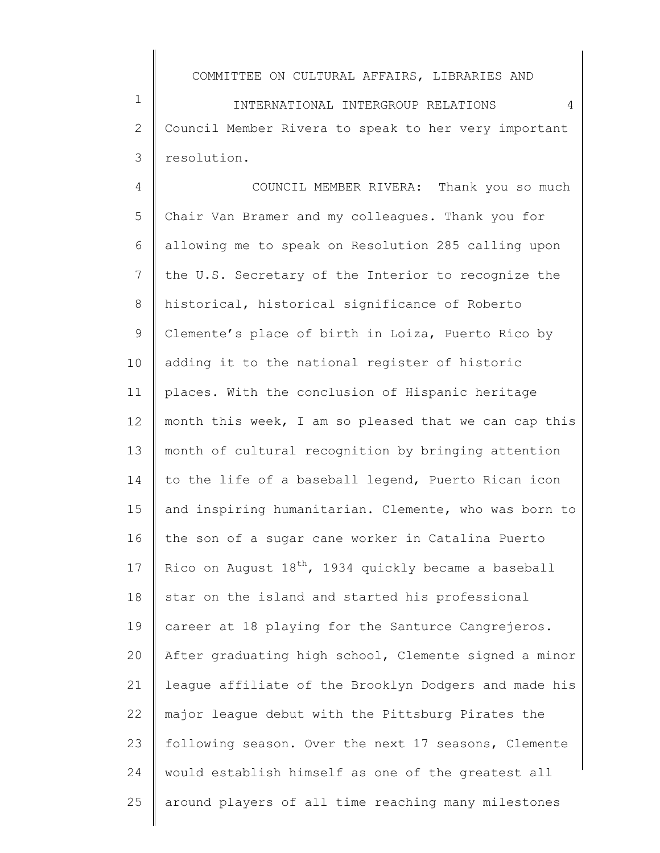1 2 3 INTERNATIONAL INTERGROUP RELATIONS 4 Council Member Rivera to speak to her very important resolution.

4 5 6 7 8 9 10 11 12 13 14 15 16 17 18 19 20 21 22 23 24 25 COUNCIL MEMBER RIVERA: Thank you so much Chair Van Bramer and my colleagues. Thank you for allowing me to speak on Resolution 285 calling upon the U.S. Secretary of the Interior to recognize the historical, historical significance of Roberto Clemente's place of birth in Loiza, Puerto Rico by adding it to the national register of historic places. With the conclusion of Hispanic heritage month this week, I am so pleased that we can cap this month of cultural recognition by bringing attention to the life of a baseball legend, Puerto Rican icon and inspiring humanitarian. Clemente, who was born to the son of a sugar cane worker in Catalina Puerto Rico on August  $18^{th}$ , 1934 quickly became a baseball star on the island and started his professional career at 18 playing for the Santurce Cangrejeros. After graduating high school, Clemente signed a minor league affiliate of the Brooklyn Dodgers and made his major league debut with the Pittsburg Pirates the following season. Over the next 17 seasons, Clemente would establish himself as one of the greatest all around players of all time reaching many milestones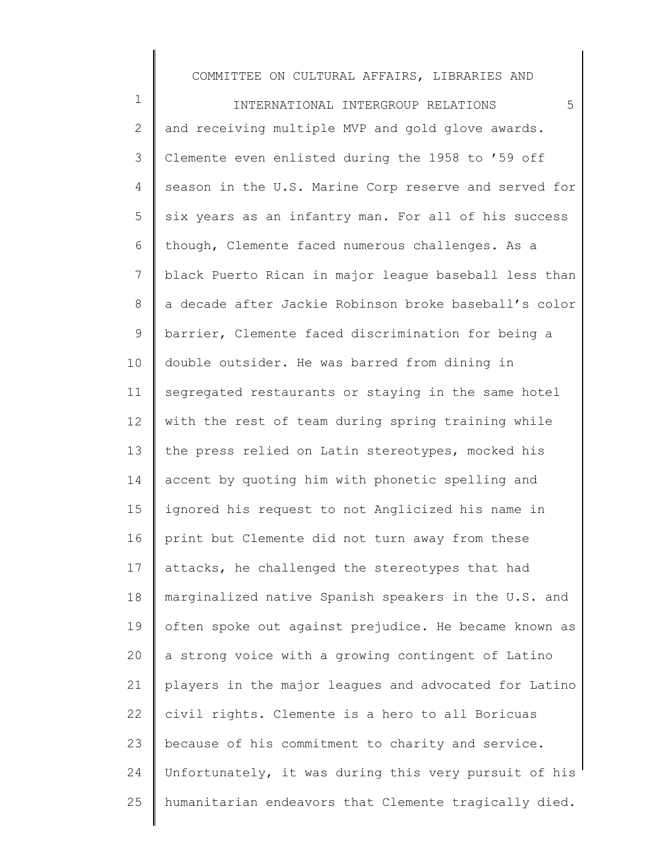1 2 3 4 5 6 7 8 9 10 11 12 13 14 15 16 17 18 19 20 21 22 23 24 25 INTERNATIONAL INTERGROUP RELATIONS 5 and receiving multiple MVP and gold glove awards. Clemente even enlisted during the 1958 to '59 off season in the U.S. Marine Corp reserve and served for six years as an infantry man. For all of his success though, Clemente faced numerous challenges. As a black Puerto Rican in major league baseball less than a decade after Jackie Robinson broke baseball's color barrier, Clemente faced discrimination for being a double outsider. He was barred from dining in segregated restaurants or staying in the same hotel with the rest of team during spring training while the press relied on Latin stereotypes, mocked his accent by quoting him with phonetic spelling and ignored his request to not Anglicized his name in print but Clemente did not turn away from these attacks, he challenged the stereotypes that had marginalized native Spanish speakers in the U.S. and often spoke out against prejudice. He became known as a strong voice with a growing contingent of Latino players in the major leagues and advocated for Latino civil rights. Clemente is a hero to all Boricuas because of his commitment to charity and service. Unfortunately, it was during this very pursuit of his humanitarian endeavors that Clemente tragically died.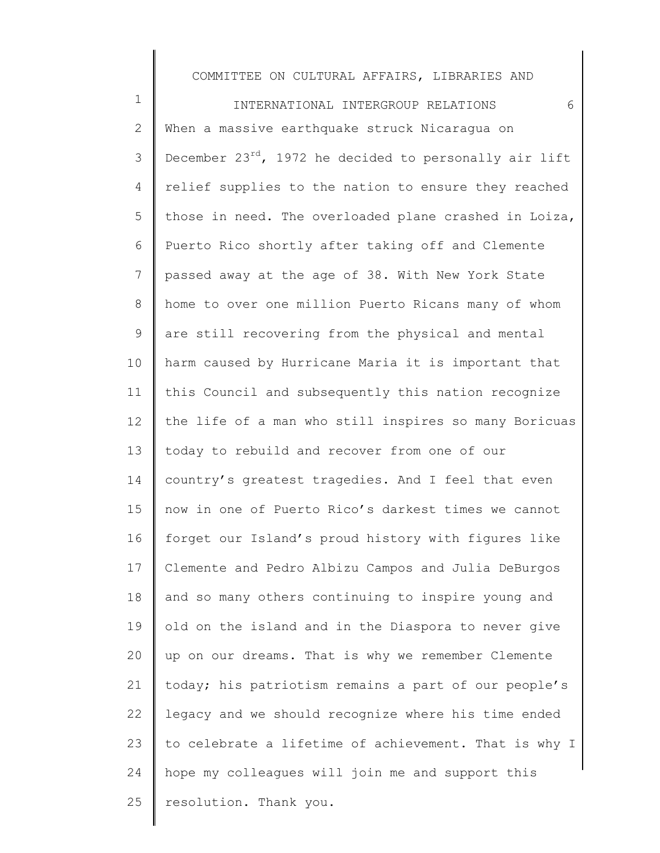1 2 3 4 5 6 7 8 9 10 11 12 13 14 15 16 17 18 19 20 21 22 23 24 25 INTERNATIONAL INTERGROUP RELATIONS 6 When a massive earthquake struck Nicaragua on December  $23^{rd}$ , 1972 he decided to personally air lift relief supplies to the nation to ensure they reached those in need. The overloaded plane crashed in Loiza, Puerto Rico shortly after taking off and Clemente passed away at the age of 38. With New York State home to over one million Puerto Ricans many of whom are still recovering from the physical and mental harm caused by Hurricane Maria it is important that this Council and subsequently this nation recognize the life of a man who still inspires so many Boricuas today to rebuild and recover from one of our country's greatest tragedies. And I feel that even now in one of Puerto Rico's darkest times we cannot forget our Island's proud history with figures like Clemente and Pedro Albizu Campos and Julia DeBurgos and so many others continuing to inspire young and old on the island and in the Diaspora to never give up on our dreams. That is why we remember Clemente today; his patriotism remains a part of our people's legacy and we should recognize where his time ended to celebrate a lifetime of achievement. That is why I hope my colleagues will join me and support this resolution. Thank you.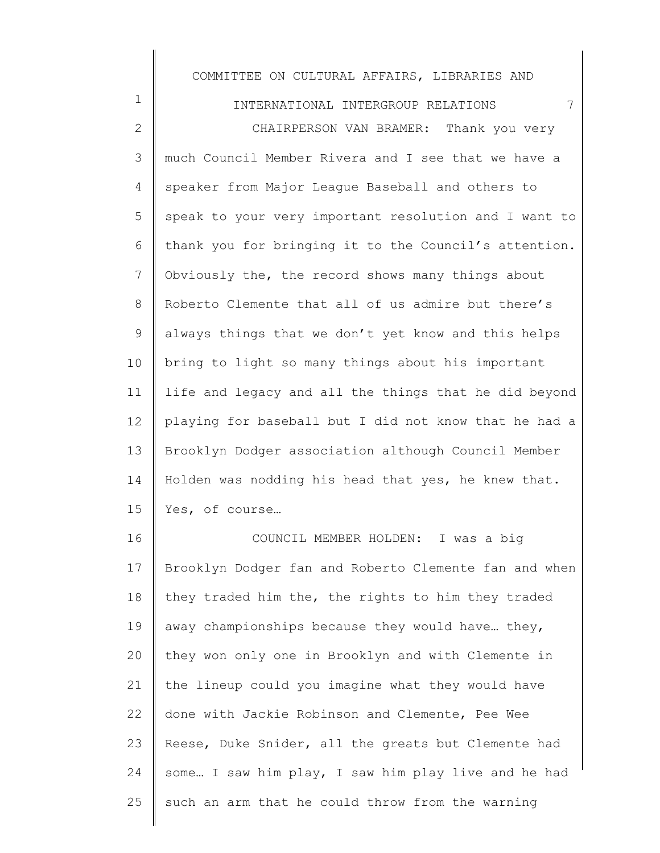1 2 3 4 5 6 7 8 9 10 11 12 13 14 15 INTERNATIONAL INTERGROUP RELATIONS 7 CHAIRPERSON VAN BRAMER: Thank you very much Council Member Rivera and I see that we have a speaker from Major League Baseball and others to speak to your very important resolution and I want to thank you for bringing it to the Council's attention. Obviously the, the record shows many things about Roberto Clemente that all of us admire but there's always things that we don't yet know and this helps bring to light so many things about his important life and legacy and all the things that he did beyond playing for baseball but I did not know that he had a Brooklyn Dodger association although Council Member Holden was nodding his head that yes, he knew that. Yes, of course…

16 17 18 19 20 21 22 23 24 25 COUNCIL MEMBER HOLDEN: I was a big Brooklyn Dodger fan and Roberto Clemente fan and when they traded him the, the rights to him they traded away championships because they would have… they, they won only one in Brooklyn and with Clemente in the lineup could you imagine what they would have done with Jackie Robinson and Clemente, Pee Wee Reese, Duke Snider, all the greats but Clemente had some… I saw him play, I saw him play live and he had such an arm that he could throw from the warning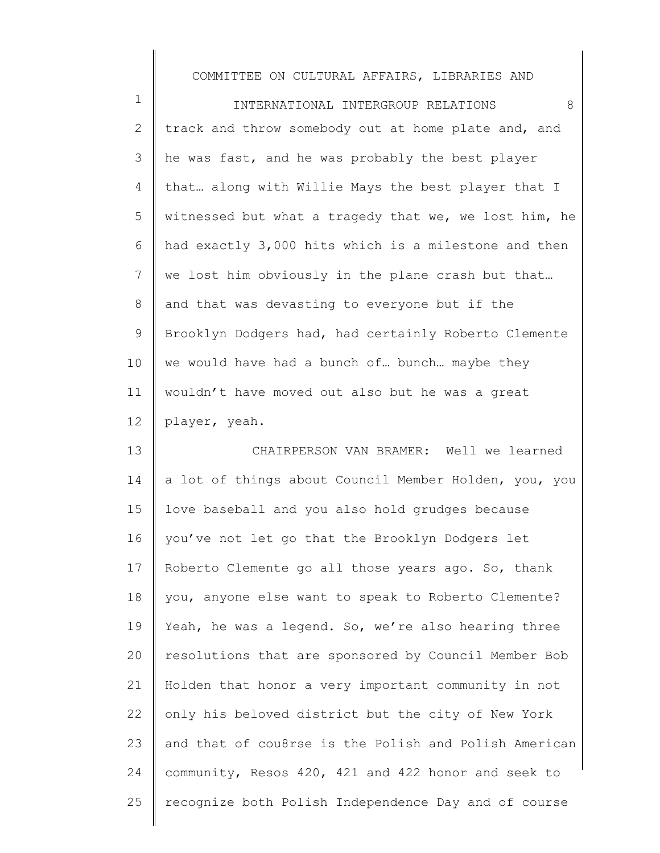1 2 3 4 5 6 7 8 9 10 11 12 INTERNATIONAL INTERGROUP RELATIONS 8 track and throw somebody out at home plate and, and he was fast, and he was probably the best player that… along with Willie Mays the best player that I witnessed but what a tragedy that we, we lost him, he had exactly 3,000 hits which is a milestone and then we lost him obviously in the plane crash but that… and that was devasting to everyone but if the Brooklyn Dodgers had, had certainly Roberto Clemente we would have had a bunch of… bunch… maybe they wouldn't have moved out also but he was a great player, yeah.

13 14 15 16 17 18 19 20 21 22 23 24 25 CHAIRPERSON VAN BRAMER: Well we learned a lot of things about Council Member Holden, you, you love baseball and you also hold grudges because you've not let go that the Brooklyn Dodgers let Roberto Clemente go all those years ago. So, thank you, anyone else want to speak to Roberto Clemente? Yeah, he was a legend. So, we're also hearing three resolutions that are sponsored by Council Member Bob Holden that honor a very important community in not only his beloved district but the city of New York and that of cou8rse is the Polish and Polish American community, Resos 420, 421 and 422 honor and seek to recognize both Polish Independence Day and of course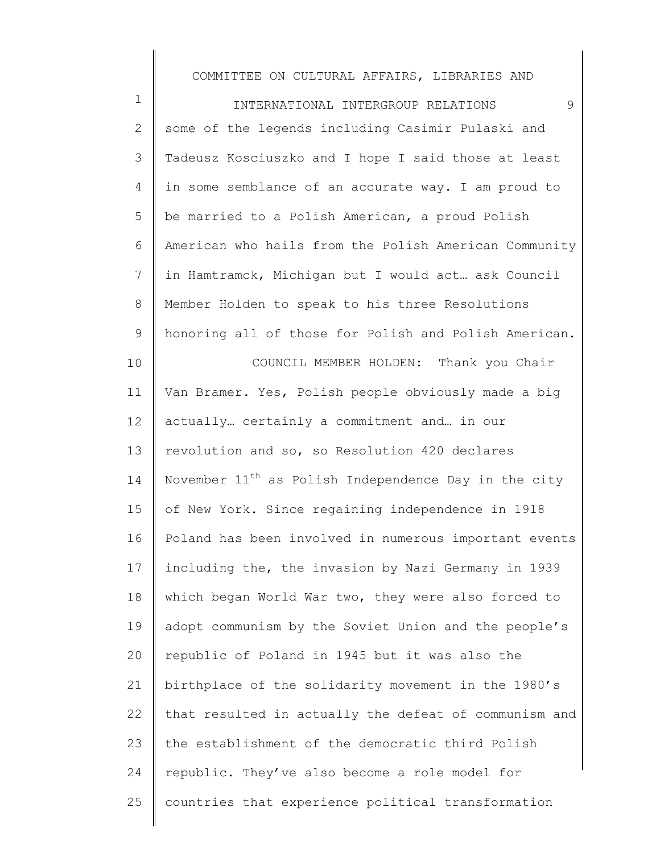1 2 3 4 5 6 7 8 9 10 11 12 13 14 15 16 17 18 19 20 21 22 23 24 25 INTERNATIONAL INTERGROUP RELATIONS 9 some of the legends including Casimir Pulaski and Tadeusz Kosciuszko and I hope I said those at least in some semblance of an accurate way. I am proud to be married to a Polish American, a proud Polish American who hails from the Polish American Community in Hamtramck, Michigan but I would act… ask Council Member Holden to speak to his three Resolutions honoring all of those for Polish and Polish American. COUNCIL MEMBER HOLDEN: Thank you Chair Van Bramer. Yes, Polish people obviously made a big actually… certainly a commitment and… in our revolution and so, so Resolution 420 declares November  $11<sup>th</sup>$  as Polish Independence Day in the city of New York. Since regaining independence in 1918 Poland has been involved in numerous important events including the, the invasion by Nazi Germany in 1939 which began World War two, they were also forced to adopt communism by the Soviet Union and the people's republic of Poland in 1945 but it was also the birthplace of the solidarity movement in the 1980's that resulted in actually the defeat of communism and the establishment of the democratic third Polish republic. They've also become a role model for countries that experience political transformation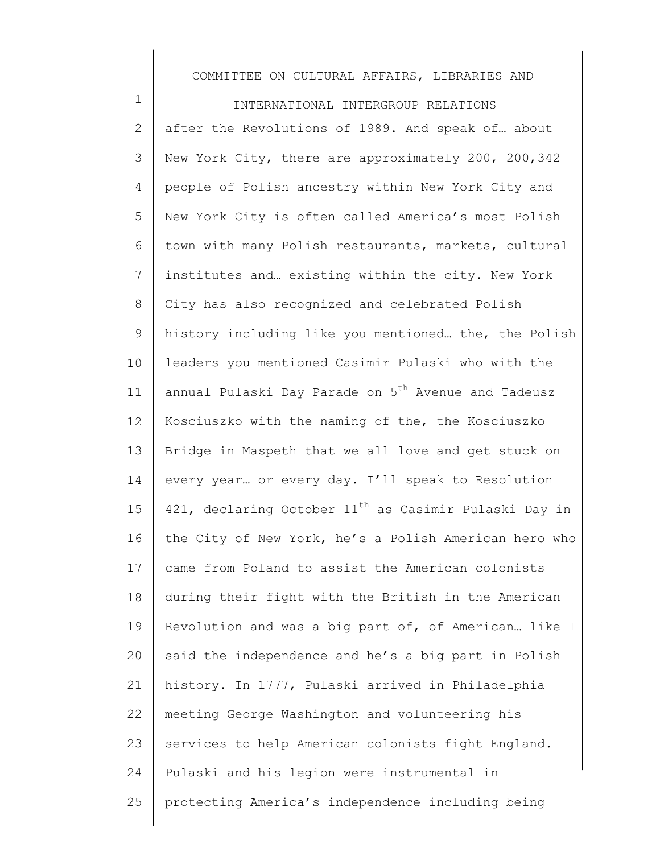1 2 3 4 5 6 7 8 9 10 11 12 13 14 15 16 17 18 19 20 21 22 23 24 25 INTERNATIONAL INTERGROUP RELATIONS after the Revolutions of 1989. And speak of... about New York City, there are approximately 200, 200,342 people of Polish ancestry within New York City and New York City is often called America's most Polish town with many Polish restaurants, markets, cultural institutes and… existing within the city. New York City has also recognized and celebrated Polish history including like you mentioned… the, the Polish leaders you mentioned Casimir Pulaski who with the annual Pulaski Day Parade on 5<sup>th</sup> Avenue and Tadeusz Kosciuszko with the naming of the, the Kosciuszko Bridge in Maspeth that we all love and get stuck on every year… or every day. I'll speak to Resolution 421, declaring October  $11^{th}$  as Casimir Pulaski Day in the City of New York, he's a Polish American hero who came from Poland to assist the American colonists during their fight with the British in the American Revolution and was a big part of, of American… like I said the independence and he's a big part in Polish history. In 1777, Pulaski arrived in Philadelphia meeting George Washington and volunteering his services to help American colonists fight England. Pulaski and his legion were instrumental in protecting America's independence including being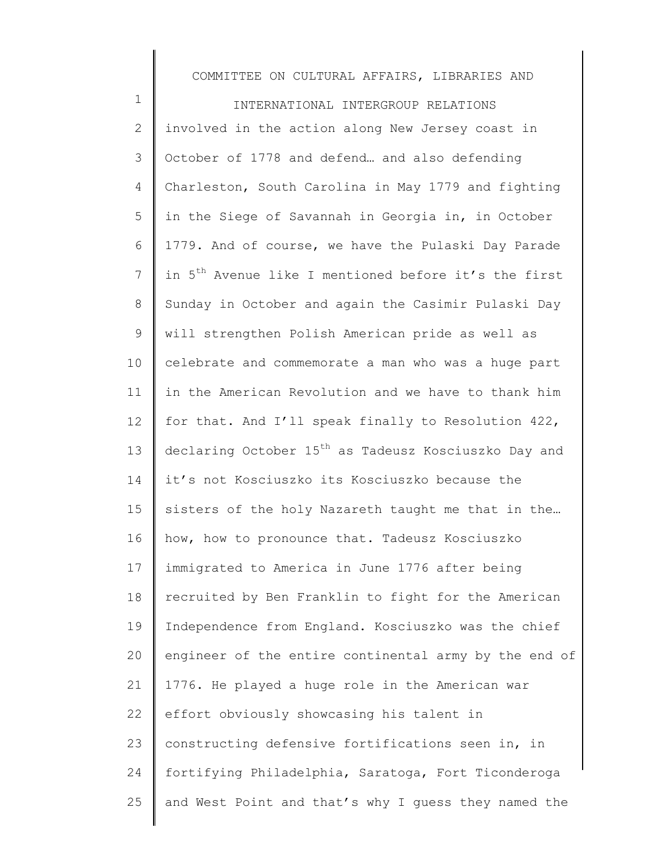1 2 3 4 5 6 7 8 9 10 11 12 13 14 15 16 17 18 19 20 21 22 23 24 25 INTERNATIONAL INTERGROUP RELATIONS involved in the action along New Jersey coast in October of 1778 and defend… and also defending Charleston, South Carolina in May 1779 and fighting in the Siege of Savannah in Georgia in, in October 1779. And of course, we have the Pulaski Day Parade in 5<sup>th</sup> Avenue like I mentioned before it's the first Sunday in October and again the Casimir Pulaski Day will strengthen Polish American pride as well as celebrate and commemorate a man who was a huge part in the American Revolution and we have to thank him for that. And I'll speak finally to Resolution 422, declaring October 15<sup>th</sup> as Tadeusz Kosciuszko Day and it's not Kosciuszko its Kosciuszko because the sisters of the holy Nazareth taught me that in the… how, how to pronounce that. Tadeusz Kosciuszko immigrated to America in June 1776 after being recruited by Ben Franklin to fight for the American Independence from England. Kosciuszko was the chief engineer of the entire continental army by the end of 1776. He played a huge role in the American war effort obviously showcasing his talent in constructing defensive fortifications seen in, in fortifying Philadelphia, Saratoga, Fort Ticonderoga and West Point and that's why I guess they named the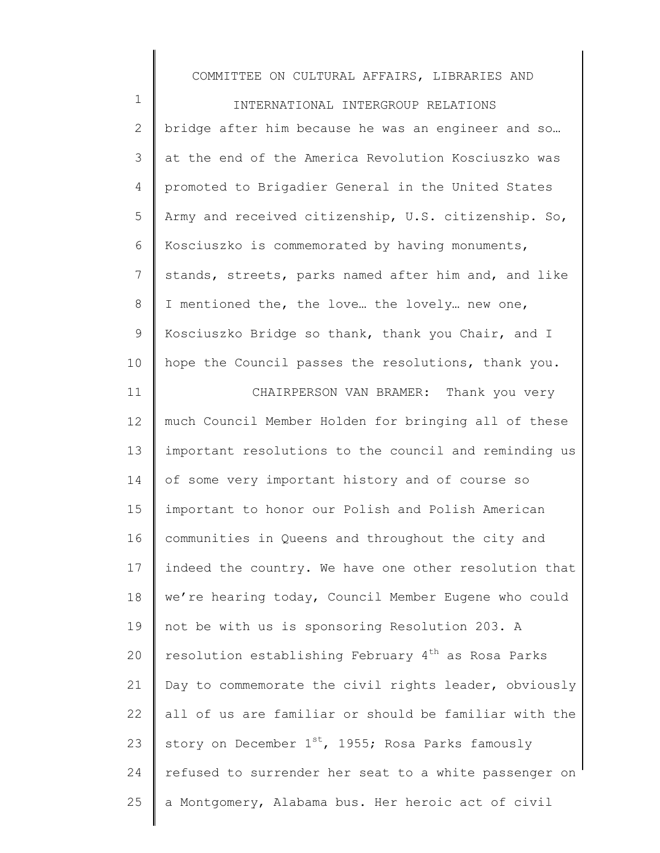1 2 3 4 5 6 7 8 9 10 11 12 13 14 15 16 17 18 19 20 21 22 23 24 25 INTERNATIONAL INTERGROUP RELATIONS bridge after him because he was an engineer and so... at the end of the America Revolution Kosciuszko was promoted to Brigadier General in the United States Army and received citizenship, U.S. citizenship. So, Kosciuszko is commemorated by having monuments, stands, streets, parks named after him and, and like I mentioned the, the love… the lovely… new one, Kosciuszko Bridge so thank, thank you Chair, and I hope the Council passes the resolutions, thank you. CHAIRPERSON VAN BRAMER: Thank you very much Council Member Holden for bringing all of these important resolutions to the council and reminding us of some very important history and of course so important to honor our Polish and Polish American communities in Queens and throughout the city and indeed the country. We have one other resolution that we're hearing today, Council Member Eugene who could not be with us is sponsoring Resolution 203. A resolution establishing February  $4<sup>th</sup>$  as Rosa Parks Day to commemorate the civil rights leader, obviously all of us are familiar or should be familiar with the story on December  $1^{st}$ , 1955; Rosa Parks famously refused to surrender her seat to a white passenger on a Montgomery, Alabama bus. Her heroic act of civil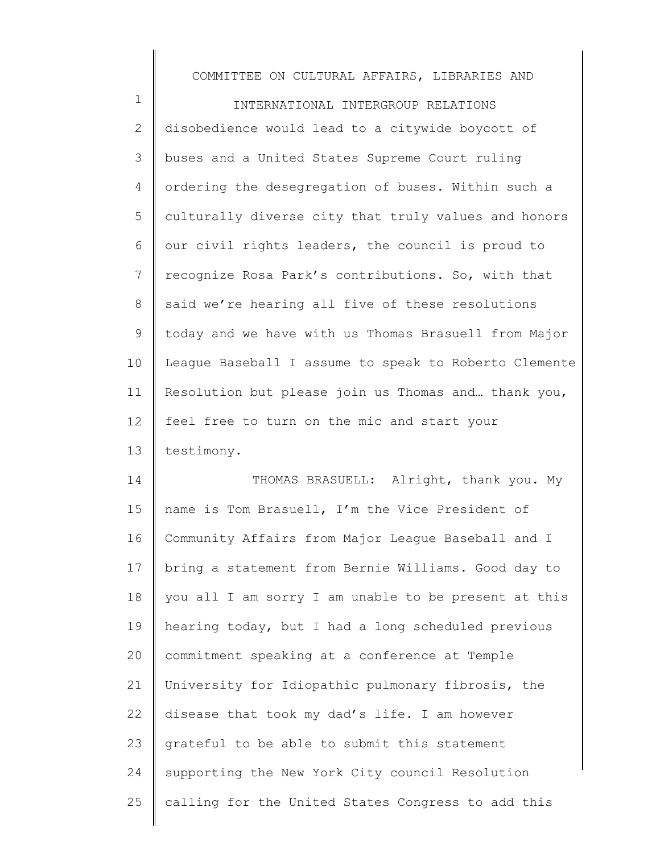1 2 3 4 5 6 7 8 9 10 11 12 13 INTERNATIONAL INTERGROUP RELATIONS disobedience would lead to a citywide boycott of buses and a United States Supreme Court ruling ordering the desegregation of buses. Within such a culturally diverse city that truly values and honors our civil rights leaders, the council is proud to recognize Rosa Park's contributions. So, with that said we're hearing all five of these resolutions today and we have with us Thomas Brasuell from Major League Baseball I assume to speak to Roberto Clemente Resolution but please join us Thomas and… thank you, feel free to turn on the mic and start your testimony.

14 15 16 17 18 19 20 21 22 23 24 25 THOMAS BRASUELL: Alright, thank you. My name is Tom Brasuell, I'm the Vice President of Community Affairs from Major League Baseball and I bring a statement from Bernie Williams. Good day to you all I am sorry I am unable to be present at this hearing today, but I had a long scheduled previous commitment speaking at a conference at Temple University for Idiopathic pulmonary fibrosis, the disease that took my dad's life. I am however grateful to be able to submit this statement supporting the New York City council Resolution calling for the United States Congress to add this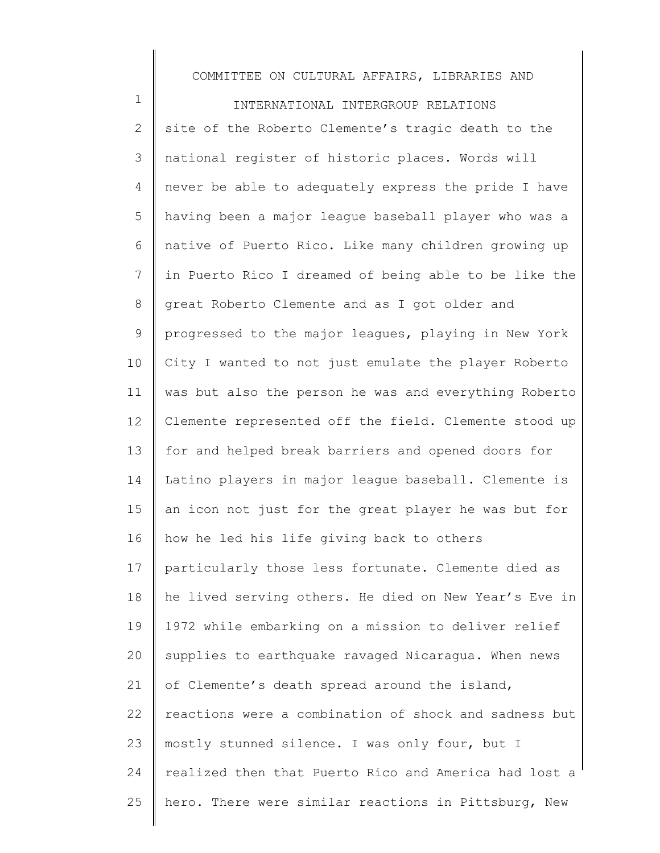1 2 3 4 5 6 7 8 9 10 11 12 13 14 15 16 17 18 19 20 21 22 23 24 25 INTERNATIONAL INTERGROUP RELATIONS site of the Roberto Clemente's tragic death to the national register of historic places. Words will never be able to adequately express the pride I have having been a major league baseball player who was a native of Puerto Rico. Like many children growing up in Puerto Rico I dreamed of being able to be like the great Roberto Clemente and as I got older and progressed to the major leagues, playing in New York City I wanted to not just emulate the player Roberto was but also the person he was and everything Roberto Clemente represented off the field. Clemente stood up for and helped break barriers and opened doors for Latino players in major league baseball. Clemente is an icon not just for the great player he was but for how he led his life giving back to others particularly those less fortunate. Clemente died as he lived serving others. He died on New Year's Eve in 1972 while embarking on a mission to deliver relief supplies to earthquake ravaged Nicaragua. When news of Clemente's death spread around the island, reactions were a combination of shock and sadness but mostly stunned silence. I was only four, but I realized then that Puerto Rico and America had lost a hero. There were similar reactions in Pittsburg, New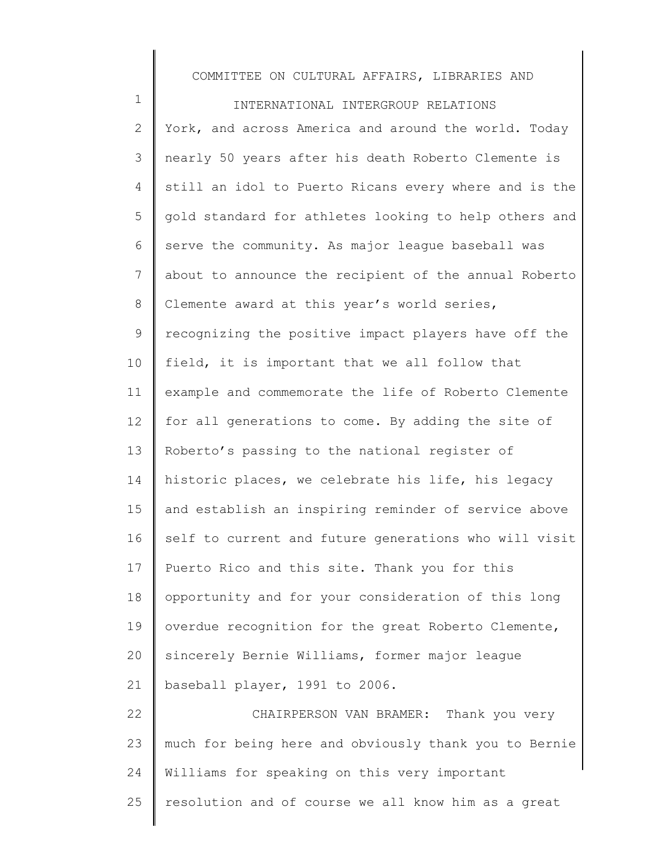1 2 3 4 5 6 7 8 9 10 11 12 13 14 15 16 17 18 19 20 21 22 23 24 25 INTERNATIONAL INTERGROUP RELATIONS York, and across America and around the world. Today nearly 50 years after his death Roberto Clemente is still an idol to Puerto Ricans every where and is the gold standard for athletes looking to help others and serve the community. As major league baseball was about to announce the recipient of the annual Roberto Clemente award at this year's world series, recognizing the positive impact players have off the field, it is important that we all follow that example and commemorate the life of Roberto Clemente for all generations to come. By adding the site of Roberto's passing to the national register of historic places, we celebrate his life, his legacy and establish an inspiring reminder of service above self to current and future generations who will visit Puerto Rico and this site. Thank you for this opportunity and for your consideration of this long overdue recognition for the great Roberto Clemente, sincerely Bernie Williams, former major league baseball player, 1991 to 2006. CHAIRPERSON VAN BRAMER: Thank you very much for being here and obviously thank you to Bernie Williams for speaking on this very important resolution and of course we all know him as a great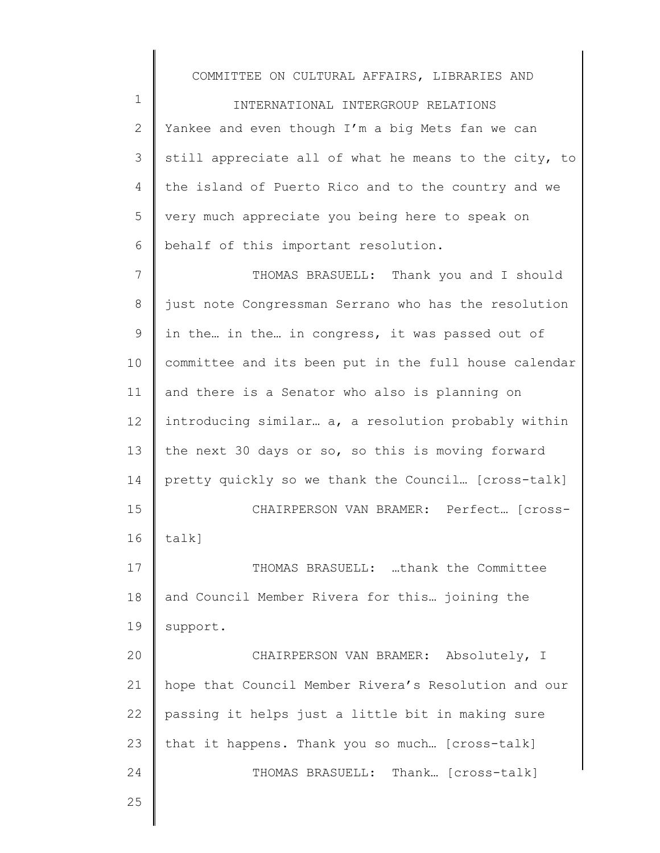1 2 3 4 5 6 INTERNATIONAL INTERGROUP RELATIONS Yankee and even though I'm a big Mets fan we can still appreciate all of what he means to the city, to the island of Puerto Rico and to the country and we very much appreciate you being here to speak on behalf of this important resolution.

7 8 9 10 11 12 13 14 15 16 17 18 19 20 21 22 23 THOMAS BRASUELL: Thank you and I should just note Congressman Serrano who has the resolution in the… in the… in congress, it was passed out of committee and its been put in the full house calendar and there is a Senator who also is planning on introducing similar… a, a resolution probably within the next 30 days or so, so this is moving forward pretty quickly so we thank the Council… [cross-talk] CHAIRPERSON VAN BRAMER: Perfect… [crosstalk] THOMAS BRASUELL: …thank the Committee and Council Member Rivera for this… joining the support. CHAIRPERSON VAN BRAMER: Absolutely, I hope that Council Member Rivera's Resolution and our passing it helps just a little bit in making sure that it happens. Thank you so much… [cross-talk] THOMAS BRASUELL: Thank… [cross-talk]

25

24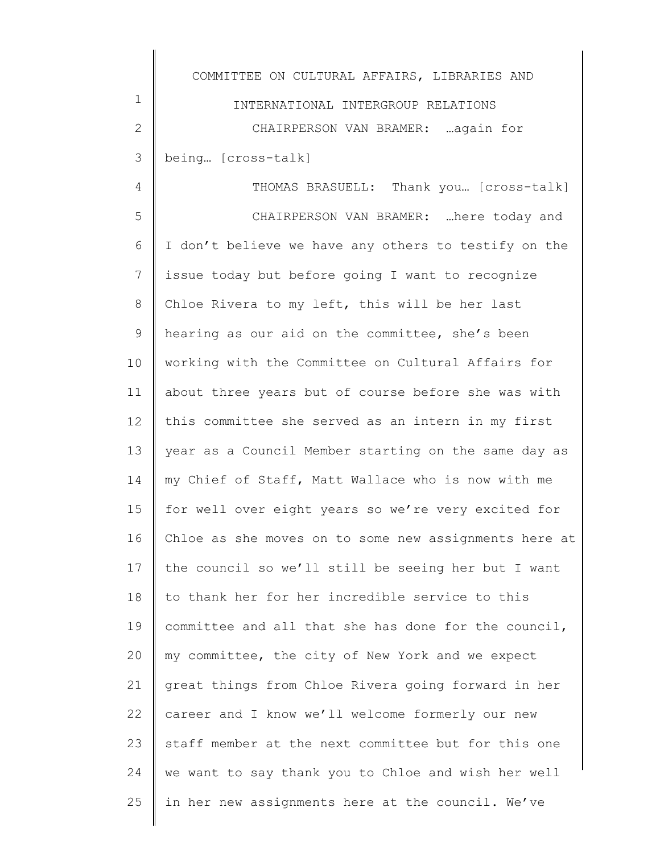| COMMITTEE ON CULTURAL AFFAIRS, LIBRARIES AND |
|----------------------------------------------|
| INTERNATIONAL INTERGROUP RELATIONS           |
| CHAIRPERSON VAN BRAMER:  again for           |
| being [cross-talk]                           |

THOMAS BRASUELL: Thank you… [cross-talk]

4

 $\mathsf l$ 

5 6 7 8 9 10 11 12 13 14 15 16 17 18 19 20 21 22 23 24 25 CHAIRPERSON VAN BRAMER: …here today and I don't believe we have any others to testify on the issue today but before going I want to recognize Chloe Rivera to my left, this will be her last hearing as our aid on the committee, she's been working with the Committee on Cultural Affairs for about three years but of course before she was with this committee she served as an intern in my first year as a Council Member starting on the same day as my Chief of Staff, Matt Wallace who is now with me for well over eight years so we're very excited for Chloe as she moves on to some new assignments here at the council so we'll still be seeing her but I want to thank her for her incredible service to this committee and all that she has done for the council, my committee, the city of New York and we expect great things from Chloe Rivera going forward in her career and I know we'll welcome formerly our new staff member at the next committee but for this one we want to say thank you to Chloe and wish her well in her new assignments here at the council. We've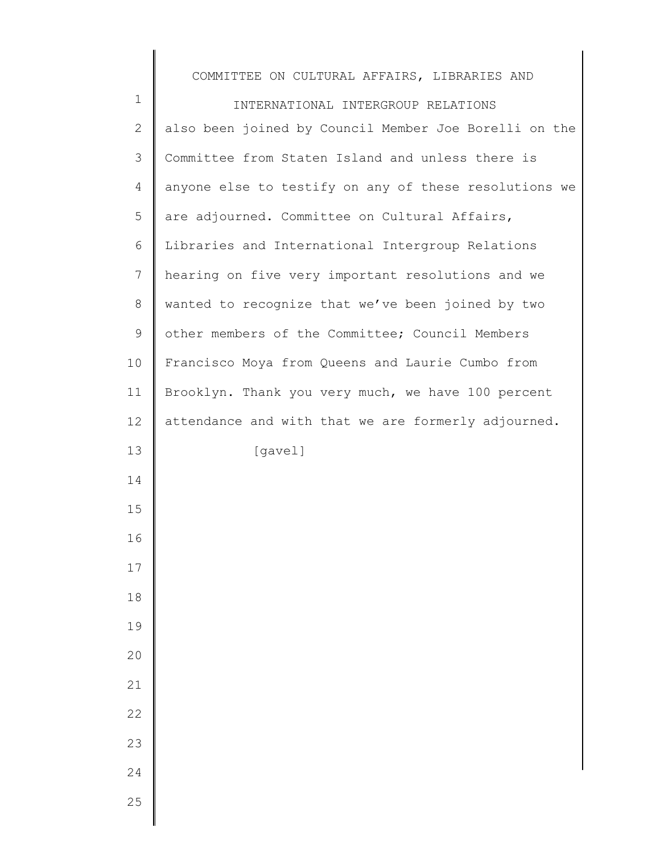| $\mathbf 1$ | INTERNATIONAL INTERGROUP RELATIONS                    |
|-------------|-------------------------------------------------------|
| 2           | also been joined by Council Member Joe Borelli on the |
| 3           | Committee from Staten Island and unless there is      |
| 4           | anyone else to testify on any of these resolutions we |
| 5           | are adjourned. Committee on Cultural Affairs,         |
| 6           | Libraries and International Intergroup Relations      |
| 7           | hearing on five very important resolutions and we     |
| 8           | wanted to recognize that we've been joined by two     |
| 9           | other members of the Committee; Council Members       |
| 10          | Francisco Moya from Queens and Laurie Cumbo from      |
| 11          | Brooklyn. Thank you very much, we have 100 percent    |
| 12          | attendance and with that we are formerly adjourned.   |
| 13          | [gavel]                                               |
| 14          |                                                       |
| 15          |                                                       |
| 16          |                                                       |
| 17          |                                                       |
| 18          |                                                       |
| 19          |                                                       |
| 20          |                                                       |
| 21          |                                                       |
| 22          |                                                       |
| 23          |                                                       |
| 24          |                                                       |
| 25          |                                                       |
|             |                                                       |